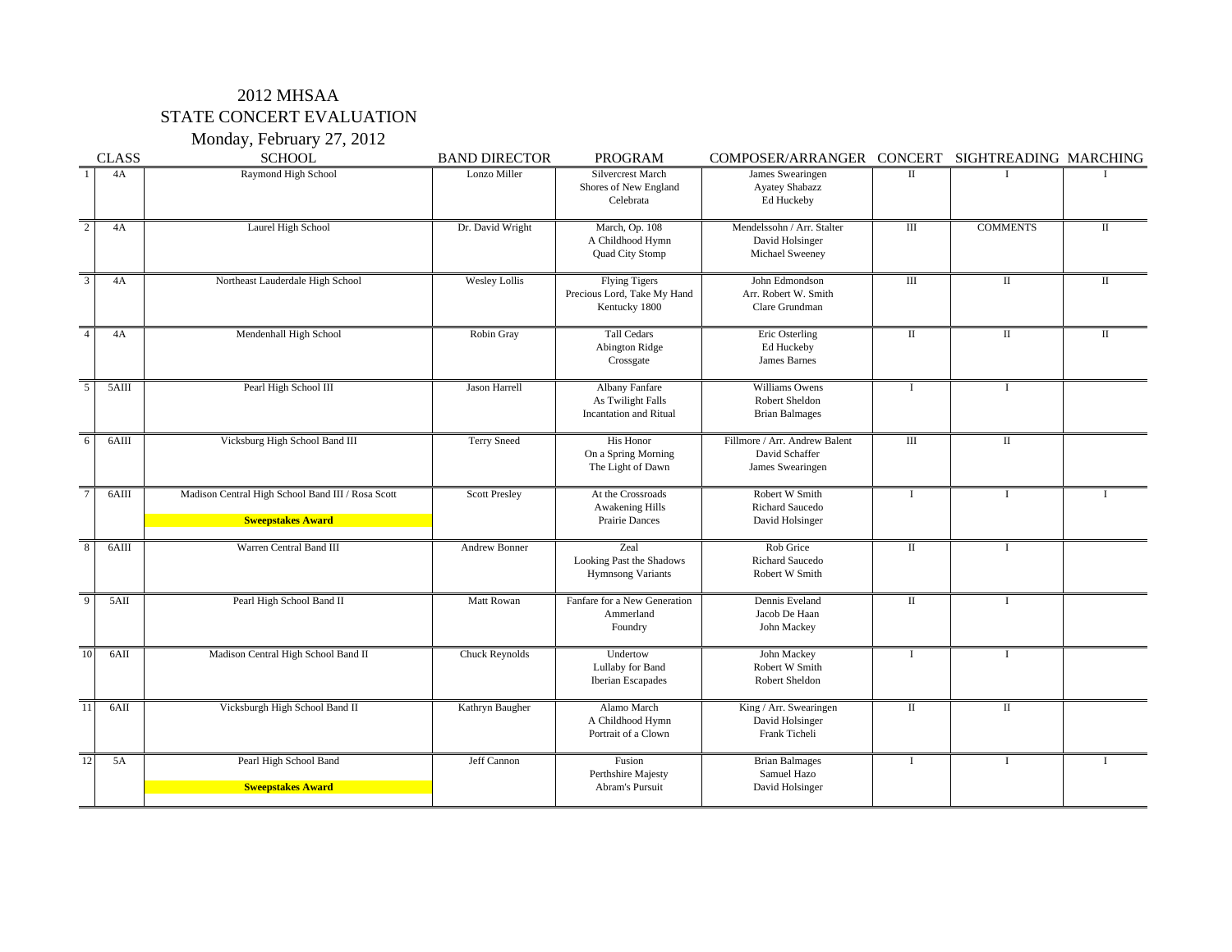Monday, February 27, 2012

|                | <b>CLASS</b> | <b>SCHOOL</b>                                                                 | <b>BAND DIRECTOR</b> | <b>PROGRAM</b>                                                       | COMPOSER/ARRANGER CONCERT SIGHTREADING MARCHING                     |                         |                 |              |
|----------------|--------------|-------------------------------------------------------------------------------|----------------------|----------------------------------------------------------------------|---------------------------------------------------------------------|-------------------------|-----------------|--------------|
| $\overline{1}$ | 4A           | Raymond High School                                                           | Lonzo Miller         | Silvercrest March<br>Shores of New England<br>Celebrata              | James Swearingen<br>Ayatey Shabazz<br>Ed Huckeby                    | $\scriptstyle\rm II$    |                 |              |
| $\overline{2}$ | 4A           | Laurel High School                                                            | Dr. David Wright     | March, Op. 108<br>A Childhood Hymn<br>Quad City Stomp                | Mendelssohn / Arr. Stalter<br>David Holsinger<br>Michael Sweeney    | Ш                       | <b>COMMENTS</b> | П            |
| $\overline{3}$ | 4A           | Northeast Lauderdale High School                                              | <b>Wesley Lollis</b> | <b>Flying Tigers</b><br>Precious Lord, Take My Hand<br>Kentucky 1800 | John Edmondson<br>Arr. Robert W. Smith<br>Clare Grundman            | Ш                       | $\rm II$        | $\mathbf{I}$ |
| $\overline{4}$ | 4A           | Mendenhall High School                                                        | Robin Gray           | <b>Tall Cedars</b><br>Abington Ridge<br>Crossgate                    | Eric Osterling<br>Ed Huckeby<br>James Barnes                        | $\overline{\mathbf{u}}$ | $\rm II$        | $\mathbf{I}$ |
| -5             | 5AIII        | Pearl High School III                                                         | Jason Harrell        | Albany Fanfare<br>As Twilight Falls<br><b>Incantation</b> and Ritual | Williams Owens<br>Robert Sheldon<br><b>Brian Balmages</b>           | $\bf{I}$                | $\mathbf{I}$    |              |
| 6              | 6AIII        | Vicksburg High School Band III                                                | <b>Terry Sneed</b>   | His Honor<br>On a Spring Morning<br>The Light of Dawn                | Fillmore / Arr. Andrew Balent<br>David Schaffer<br>James Swearingen | III                     | $\mathbf{I}$    |              |
| -7             | 6AIII        | Madison Central High School Band III / Rosa Scott<br><b>Sweepstakes Award</b> | <b>Scott Presley</b> | At the Crossroads<br>Awakening Hills<br>Prairie Dances               | Robert W Smith<br>Richard Saucedo<br>David Holsinger                | $\mathbf I$             | $\mathbf{I}$    |              |
| 8              | 6AIII        | Warren Central Band III                                                       | Andrew Bonner        | Zeal<br>Looking Past the Shadows<br><b>Hymnsong Variants</b>         | Rob Grice<br>Richard Saucedo<br>Robert W Smith                      | $\scriptstyle\rm II$    | Ι.              |              |
| $\overline{Q}$ | 5AII         | Pearl High School Band II                                                     | Matt Rowan           | Fanfare for a New Generation<br>Ammerland<br>Foundry                 | Dennis Eveland<br>Jacob De Haan<br>John Mackey                      | $\rm II$                | $\mathbf{I}$    |              |
| 10             | 6AII         | Madison Central High School Band II                                           | Chuck Reynolds       | Undertow<br>Lullaby for Band<br><b>Iberian Escapades</b>             | John Mackey<br>Robert W Smith<br>Robert Sheldon                     | $\mathbf{I}$            | T               |              |
| 11             | 6AII         | Vicksburgh High School Band II                                                | Kathryn Baugher      | Alamo March<br>A Childhood Hymn<br>Portrait of a Clown               | King / Arr. Swearingen<br>David Holsinger<br>Frank Ticheli          | $\scriptstyle\rm II$    | $\rm II$        |              |
| 12             | 5A           | Pearl High School Band<br><b>Sweepstakes Award</b>                            | Jeff Cannon          | Fusion<br>Perthshire Majesty<br>Abram's Pursuit                      | <b>Brian Balmages</b><br>Samuel Hazo<br>David Holsinger             | $\mathbf{I}$            | T               |              |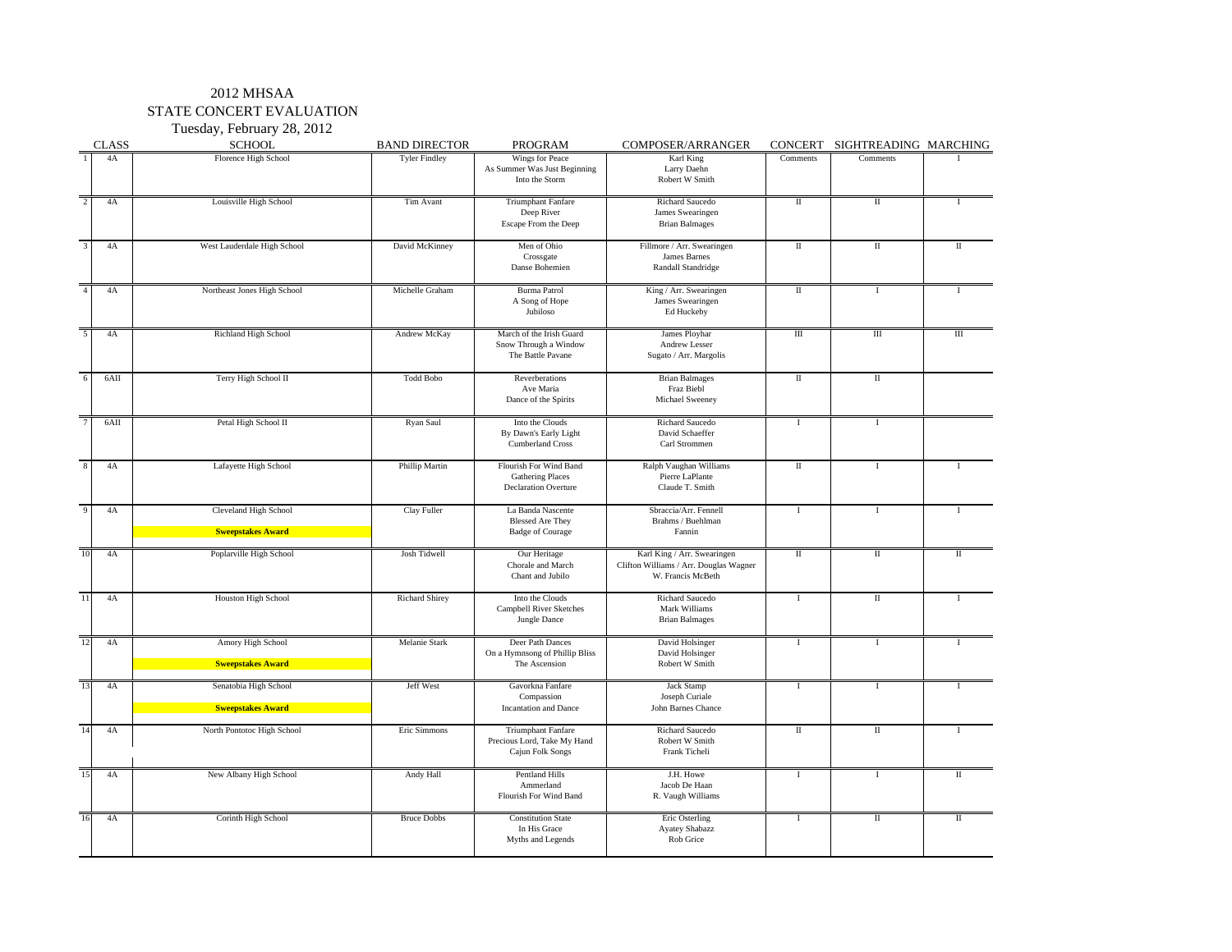Tuesday, February 28, 2012

|                 | <b>CLASS</b> | <b>SCHOOL</b>                                     | <b>BAND DIRECTOR</b>  | PROGRAM                                                                          | COMPOSER/ARRANGER                                                                          |                         | CONCERT SIGHTREADING MARCHING |                         |
|-----------------|--------------|---------------------------------------------------|-----------------------|----------------------------------------------------------------------------------|--------------------------------------------------------------------------------------------|-------------------------|-------------------------------|-------------------------|
|                 | 4A           | Florence High School                              | <b>Tyler Findley</b>  | Wings for Peace<br>As Summer Was Just Beginning<br>Into the Storm                | Karl King<br>Larry Daehn<br>Robert W Smith                                                 | Comments                | Comments                      |                         |
| $\mathcal{D}$   | 4A           | Louisville High School                            | Tim Avant             | <b>Triumphant Fanfare</b><br>Deep River<br>Escape From the Deep                  | Richard Saucedo<br>James Swearingen<br><b>Brian Balmages</b>                               | $\overline{\mathbf{u}}$ | $\rm{II}$                     | $\mathbf{I}$            |
| 3               | 4A           | West Lauderdale High School                       | David McKinney        | Men of Ohio<br>Crossgate<br>Danse Bohemien                                       | Fillmore / Arr. Swearingen<br>James Barnes<br>Randall Standridge                           | Π                       | $\mathbb{I}$                  | П                       |
|                 | 4A           | Northeast Jones High School                       | Michelle Graham       | Burma Patrol<br>A Song of Hope<br>Jubiloso                                       | King / Arr. Swearingen<br>James Swearingen<br>Ed Huckeby                                   | $\;$ II                 | $\bf{I}$                      |                         |
| $\overline{5}$  | 4A           | Richland High School                              | Andrew McKay          | March of the Irish Guard<br>Snow Through a Window<br>The Battle Pavane           | James Ployhar<br>Andrew Lesser<br>Sugato / Arr. Margolis                                   | $\overline{\mathbf{H}}$ | $\overline{III}$              | $\mathbf{I}$            |
| 6               | 6AII         | Terry High School II                              | <b>Todd Bobo</b>      | Reverberations<br>Ave Maria<br>Dance of the Spirits                              | <b>Brian Balmages</b><br>Fraz Biebl<br>Michael Sweeney                                     | $\overline{\mathbf{u}}$ | $\rm{II}$                     |                         |
|                 | 6AII         | Petal High School II                              | Ryan Saul             | Into the Clouds<br>By Dawn's Early Light<br><b>Cumberland Cross</b>              | Richard Saucedo<br>David Schaeffer<br>Carl Strommen                                        | $\mathbf{I}$            | Т                             |                         |
| 8               | 4A           | Lafayette High School                             | <b>Phillip Martin</b> | Flourish For Wind Band<br><b>Gathering Places</b><br><b>Declaration Overture</b> | Ralph Vaughan Williams<br>Pierre LaPlante<br>Claude T. Smith                               | $\mathbf{I}$            | Ι.                            |                         |
| $\overline{9}$  | 4A           | Cleveland High School<br><b>Sweepstakes Award</b> | Clay Fuller           | La Banda Nascente<br><b>Blessed Are They</b><br><b>Badge of Courage</b>          | Sbraccia/Arr. Fennell<br>Brahms / Buehlman<br>Fannin                                       | <b>I</b>                | T                             |                         |
| 10              | 4A           | Poplarville High School                           | Josh Tidwell          | Our Heritage<br>Chorale and March<br>Chant and Jubilo                            | Karl King / Arr. Swearingen<br>Clifton Williams / Arr. Douglas Wagner<br>W. Francis McBeth | $\;$ II                 | $\;$ II                       | $\mathbf{I}$            |
| $\overline{11}$ | 4A           | Houston High School                               | <b>Richard Shirey</b> | Into the Clouds<br>Campbell River Sketches<br>Jungle Dance                       | Richard Saucedo<br>Mark Williams<br><b>Brian Balmages</b>                                  | 1                       | $\;$ II                       | <b>I</b>                |
| 12              | 4A           | Amory High School<br><b>Sweepstakes Award</b>     | Melanie Stark         | Deer Path Dances<br>On a Hymnsong of Phillip Bliss<br>The Ascension              | David Holsinger<br>David Holsinger<br>Robert W Smith                                       | <b>I</b>                | $\bf{I}$                      |                         |
| 13              | 4A           | Senatobia High School<br><b>Sweepstakes Award</b> | Jeff West             | Gavorkna Fanfare<br>Compassion<br><b>Incantation</b> and Dance                   | Jack Stamp<br>Joseph Curiale<br>John Barnes Chance                                         | $\bf I$                 | $\bf{I}$                      |                         |
| 14              | 4A           | North Pontotoc High School                        | Eric Simmons          | <b>Triumphant Fanfare</b><br>Precious Lord, Take My Hand<br>Cajun Folk Songs     | Richard Saucedo<br>Robert W Smith<br>Frank Ticheli                                         | $\;$ II                 | П                             |                         |
| 15              | 4A           | New Albany High School                            | Andy Hall             | <b>Pentland Hills</b><br>Ammerland<br>Flourish For Wind Band                     | J.H. Howe<br>Jacob De Haan<br>R. Vaugh Williams                                            | $\mathbf I$             | I                             | $\rm II$                |
| 16              | 4A           | Corinth High School                               | <b>Bruce Dobbs</b>    | <b>Constitution State</b><br>In His Grace<br>Myths and Legends                   | Eric Osterling<br><b>Ayatey Shabazz</b><br>Rob Grice                                       | 1                       | $\rm{II}$                     | $\overline{\mathbf{u}}$ |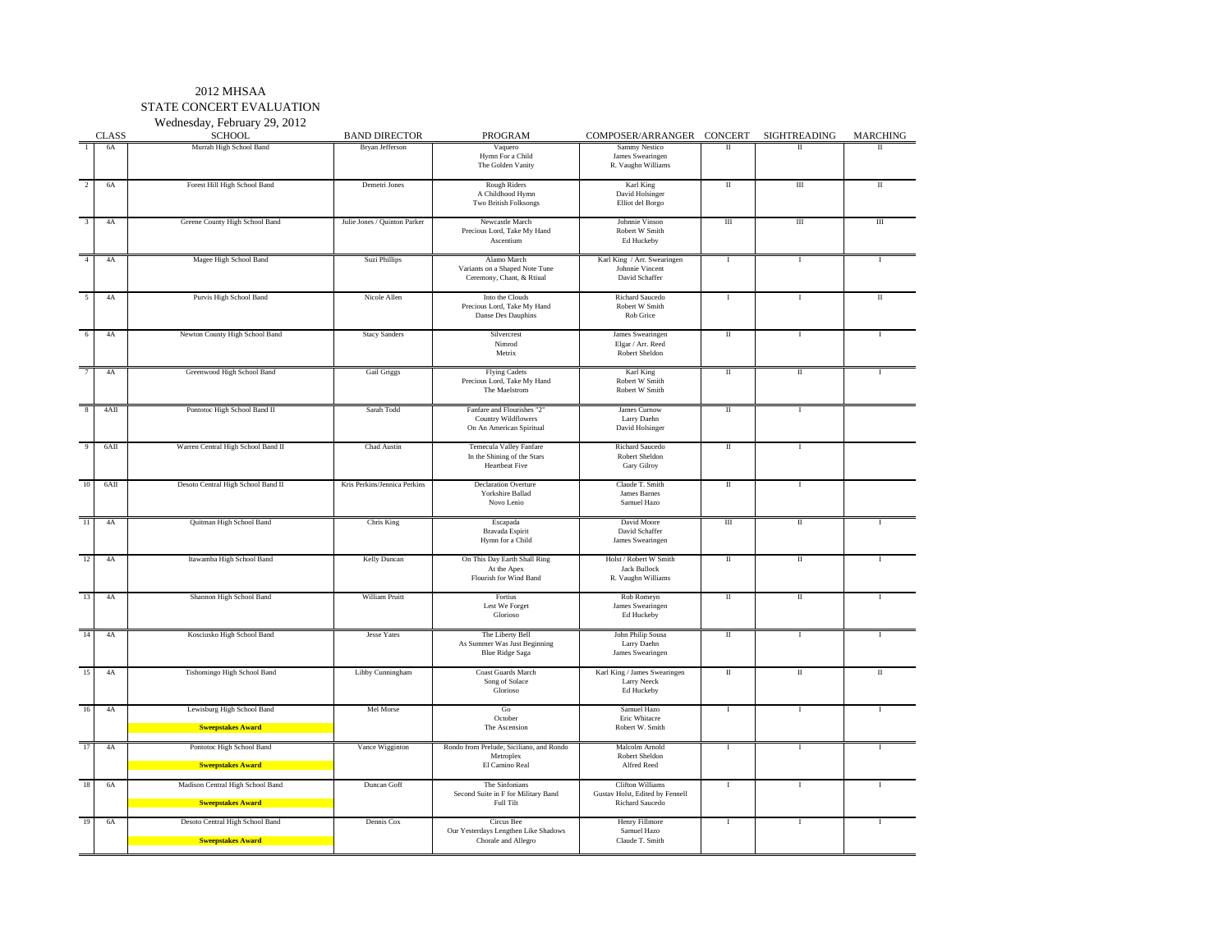|                |               | Wednesday, February 29, 2012                                 |                              |                                                                               |                                                                               |                      |              |                 |
|----------------|---------------|--------------------------------------------------------------|------------------------------|-------------------------------------------------------------------------------|-------------------------------------------------------------------------------|----------------------|--------------|-----------------|
|                | CLASS         | <b>SCHOOL</b>                                                | <b>BAND DIRECTOR</b>         | PROGRAM                                                                       | COMPOSER/ARRANGER                                                             | <b>CONCERT</b>       | SIGHTREADING | <b>MARCHING</b> |
| -1             | <b>6A</b>     | Murrah High School Band                                      | <b>Bryan Jefferson</b>       | Vaquero<br>Hymn For a Child<br>The Golden Vanity                              | Sammy Nestico<br>James Swearingen<br>R. Vaughn Williams                       | $_{\rm II}$          | $\mathbf{I}$ | $\Pi$           |
| $\overline{2}$ | 6A            | Forest Hill High School Band                                 | Demetri Jones                | Rough Riders<br>A Childhood Hymn<br>Two British Folksongs                     | Karl King<br>David Holsinger<br>Elliot del Borgo                              | П                    | Ш            | П               |
| $\sqrt{3}$     | $4\mathrm{A}$ | Greene County High School Band                               | Julie Jones / Quinton Parker | Newcastle March<br>Precious Lord, Take My Hand<br>Ascentium                   | Johnnie Vinson<br>Robert W Smith<br>Ed Huckeby                                | $\rm III$            | $\rm III$    | $\rm III$       |
| $\overline{4}$ | 4A            | Magee High School Band                                       | <b>Suzi Phillips</b>         | Alamo March<br>Variants on a Shaped Note Tune<br>Ceremony, Chant, & Rtiual    | Karl King / Arr. Swearingen<br>Johnnie Vincent<br>David Schaffer              | I                    | $\mathbf I$  | л               |
| 5              | 4A            | Purvis High School Band                                      | Nicole Allen                 | Into the Clouds<br>Precious Lord, Take My Hand<br>Danse Des Dauphins          | <b>Richard Saucedo</b><br>Robert W Smith<br>Rob Grice                         | $\mathbf{I}$         | $\mathbf{I}$ | $\Pi$           |
| 6              | 4A            | Newton County High School Band                               | <b>Stacy Sanders</b>         | Silvercrest<br>Nimrod<br>Metrix                                               | James Swearingen<br>Elgar / Arr. Reed<br>Robert Sheldon                       | $\mathbf{I}$         | $\bf I$      | <b>I</b>        |
| $\overline{7}$ | 4A            | Greenwood High School Band                                   | <b>Gail Griggs</b>           | <b>Flying Cadets</b><br>Precious Lord, Take My Hand<br>The Maelstrom          | Karl King<br>Robert W Smith<br>Robert W Smith                                 | П                    | П            | T               |
| 8              | 4AII          | Pontotoc High School Band II                                 | Sarah Todd                   | Fanfare and Flourishes "2"<br>Country Wildflowers<br>On An American Spiritual | James Curnow<br>Larry Daehn<br>David Holsinger                                | П                    | $\mathbf I$  |                 |
| 9              | $6$ AII       | Warren Central High School Band II                           | <b>Chad Austin</b>           | Temecula Valley Fanfare<br>In the Shining of the Stars<br>Heartbeat Five      | <b>Richard Saucedo</b><br>Robert Sheldon<br>Gary Gilroy                       | $\scriptstyle\rm II$ | <b>I</b>     |                 |
| 10             | 6AII          | Desoto Central High School Band II                           | Kris Perkins/Jennica Perkins | <b>Declaration Overture</b><br><b>Yorkshire Ballad</b><br>Novo Lenio          | Claude T. Smith<br><b>James Barnes</b><br>Samuel Hazo                         | $\scriptstyle\rm II$ | $\bf I$      |                 |
| 11             | 4A            | Quitman High School Band                                     | Chris King                   | Escapada<br>Bravada Espirit<br>Hymn for a Child                               | David Moore<br>David Schaffer<br>James Swearingen                             | Ш                    | П            | $\mathbf{I}$    |
| 12             | 4A            | Itawamba High School Band                                    | Kelly Duncan                 | On This Day Earth Shall Ring<br>At the Apex<br>Flourish for Wind Band         | Holst / Robert W Smith<br>Jack Bullock<br>R. Vaughn Williams                  | Π                    | П            |                 |
| 13             | $4A$          | Shannon High School Band                                     | William Pruitt               | Fortius<br>Lest We Forget<br>Glorioso                                         | Rob Romeyn<br>James Swearingen<br>Ed Huckeby                                  | $\scriptstyle\rm II$ | $\mathbf{I}$ | $\mathbf{I}$    |
| 14             | 4A            | Kosciusko High School Band                                   | <b>Jesse Yates</b>           | The Liberty Bell<br>As Summer Was Just Beginning<br><b>Blue Ridge Saga</b>    | John Philip Sousa<br>Larry Daehn<br>James Swearingen                          | $\Pi$                | T            |                 |
| 15             | 4A            | Tishomingo High School Band                                  | Libby Cunningham             | Coast Guards March<br>Song of Solace<br>Glorioso                              | Karl King / James Swearingen<br>Larry Neeck<br>Ed Huckeby                     | $\scriptstyle\rm II$ | $\;$ II      | $\rm II$        |
| 16             | 4A            | Lewisburg High School Band<br><b>Sweepstakes Award</b>       | Mel Morse                    | $\rm{Go}$<br>October<br>The Ascension                                         | Samuel Hazo<br>Eric Whitacre<br>Robert W. Smith                               | $\mathbf I$          | $\bf{I}$     | $\mathbf{I}$    |
| 17             | $4A$          | Pontotoc High School Band                                    | Vance Wigginton              | Rondo from Prelude, Siciliano, and Rondo                                      | Malcolm Arnold                                                                | $\mathbf I$          | $\mathbf I$  | T               |
|                |               | <b>Sweepstakes Award</b>                                     |                              | Metroplex<br>El Camino Real                                                   | Robert Sheldon<br>Alfred Reed                                                 |                      |              |                 |
| 18             | <b>6A</b>     | Madison Central High School Band<br><b>Sweepstakes Award</b> | Duncan Goff                  | The Sinfonians<br>Second Suite in F for Military Band<br>Full Tilt            | <b>Clifton Williams</b><br>Gustav Holst, Edited by Fennell<br>Richard Saucedo | $\mathbf I$          | $\mathbf{I}$ | $\mathbf{I}$    |
| 19             | 6A            | Desoto Central High School Band<br><b>Sweepstakes Award</b>  | Dennis Cox                   | Circus Bee<br>Our Yesterdays Lengthen Like Shadows<br>Chorale and Allegro     | Henry Fillmore<br>Samuel Hazo<br>Claude T. Smith                              | 1                    | 1            | $\mathbf{I}$    |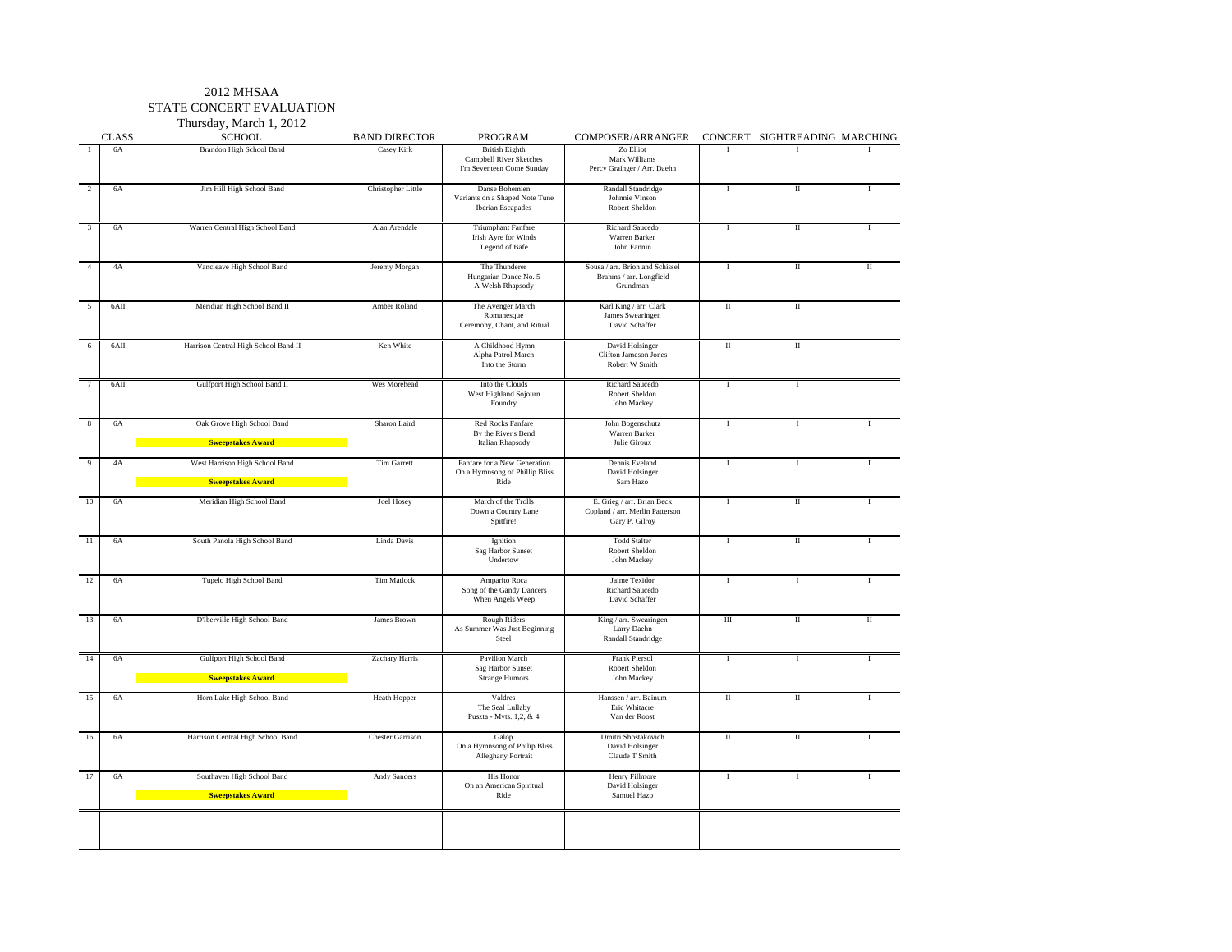Thursday, March 1, 2012

| <b>CLASS</b>                  | Thursuay, march 1, 2012<br><b>SCHOOL</b>                   | <b>BAND DIRECTOR</b>    | <b>PROGRAM</b>                                                                | COMPOSER/ARRANGER                                                               |             | CONCERT SIGHTREADING MARCHING |              |
|-------------------------------|------------------------------------------------------------|-------------------------|-------------------------------------------------------------------------------|---------------------------------------------------------------------------------|-------------|-------------------------------|--------------|
| 6A<br>$\mathbf{1}$            | Brandon High School Band                                   | <b>Casey Kirk</b>       | <b>British Eighth</b><br>Campbell River Sketches<br>I'm Seventeen Come Sunday | Zo Elliot<br>Mark Williams<br>Percy Grainger / Arr. Daehn                       | L           | $\mathbf{I}$                  |              |
| $\overline{2}$<br>6A          | Jim Hill High School Band                                  | Christopher Little      | Danse Bohemien<br>Variants on a Shaped Note Tune<br><b>Iberian Escapades</b>  | Randall Standridge<br>Johnnie Vinson<br>Robert Sheldon                          | $\bf I$     | $\rm{II}$                     | $\mathbf{I}$ |
| $\overline{\mathbf{3}}$<br>6A | Warren Central High School Band                            | Alan Arendale           | Triumphant Fanfare<br>Irish Ayre for Winds<br>Legend of Bafe                  | Richard Saucedo<br>Warren Barker<br>John Fannin                                 | $\;$ I      | $\rm II$                      | I            |
| $\overline{4}$<br>4A          | Vancleave High School Band                                 | Jeremy Morgan           | The Thunderer<br>Hungarian Dance No. 5<br>A Welsh Rhapsody                    | Sousa / arr. Brion and Schissel<br>Brahms / arr. Longfield<br>Grundman          | $\mathbf I$ | $\rm{II}$                     | $\rm II$     |
| 5<br>6AII                     | Meridian High School Band II                               | Amber Roland            | The Avenger March<br>Romanesque<br>Ceremony, Chant, and Ritual                | Karl King / arr. Clark<br>James Swearingen<br>David Schaffer                    | $\;$ II     | $\rm II$                      |              |
| 6AII<br>-6                    | Harrison Central High School Band II                       | Ken White               | A Childhood Hymn<br>Alpha Patrol March<br>Into the Storm                      | David Holsinger<br>Clifton Jameson Jones<br>Robert W Smith                      | $\;$ II     | $\rm II$                      |              |
| 6AII                          | Gulfport High School Band II                               | Wes Morehead            | Into the Clouds<br>West Highland Sojourn<br>Foundry                           | Richard Saucedo<br>Robert Sheldon<br>John Mackey                                | 1           | $\bf{I}$                      |              |
| 8<br>6A                       | Oak Grove High School Band<br><b>Sweepstakes Award</b>     | Sharon Laird            | Red Rocks Fanfare<br>By the River's Bend<br><b>Italian Rhapsody</b>           | John Bogenschutz<br>Warren Barker<br>Julie Giroux                               | $\mathbf I$ | $\mathbf I$                   | $\mathbf{I}$ |
| 4A                            | West Harrison High School Band<br><b>Sweepstakes Award</b> | <b>Tim Garrett</b>      | Fanfare for a New Generation<br>On a Hymnsong of Phillip Bliss<br>Ride        | Dennis Eveland<br>David Holsinger<br>Sam Hazo                                   | 1           | $\bf I$                       | I            |
| 10<br>6A                      | Meridian High School Band                                  | Joel Hosey              | March of the Trolls<br>Down a Country Lane<br>Spitfire!                       | E. Grieg / arr. Brian Beck<br>Copland / arr. Merlin Patterson<br>Gary P. Gilroy | $\bf{I}$    | $\rm II$                      | $\mathbf I$  |
| 11<br>6A                      | South Panola High School Band                              | Linda Davis             | Ignition<br>Sag Harbor Sunset<br>Undertow                                     | <b>Todd Stalter</b><br>Robert Sheldon<br>John Mackey                            | 1           | П                             | I            |
| 12<br>6A                      | Tupelo High School Band                                    | Tim Matlock             | Amparito Roca<br>Song of the Gandy Dancers<br>When Angels Weep                | Jaime Texidor<br>Richard Saucedo<br>David Schaffer                              | $\;$ I      | $\mathbf I$                   | $\mathbf{I}$ |
| 13<br>6A                      | D'Iberville High School Band                               | James Brown             | <b>Rough Riders</b><br>As Summer Was Just Beginning<br>Steel                  | King / arr. Swearingen<br>Larry Daehn<br>Randall Standridge                     | $\rm III$   | $\rm II$                      | $\rm II$     |
| 14<br>6A                      | Gulfport High School Band<br><b>Sweepstakes Award</b>      | Zachary Harris          | Pavilion March<br>Sag Harbor Sunset<br><b>Strange Humors</b>                  | Frank Piersol<br>Robert Sheldon<br>John Mackey                                  | $\bf{I}$    | <b>I</b>                      |              |
| 15<br>6A                      | Horn Lake High School Band                                 | Heath Hopper            | Valdres<br>The Seal Lullaby<br>Puszta - Mvts. 1,2, & 4                        | Hanssen / arr. Bainum<br>Eric Whitacre<br>Van der Roost                         | П           | $\rm II$                      |              |
| 16<br>6A                      | Harrison Central High School Band                          | <b>Chester Garrison</b> | Galop<br>On a Hymnsong of Philip Bliss<br>Alleghany Portrait                  | Dmitri Shostakovich<br>David Holsinger<br>Claude T Smith                        | $\;$ II     | $\rm II$                      |              |
| 17<br>6A                      | Southaven High School Band<br><b>Sweepstakes Award</b>     | Andy Sanders            | His Honor<br>On an American Spiritual<br>Ride                                 | Henry Fillmore<br>David Holsinger<br>Samuel Hazo                                | $\rm I$     | $\bf I$                       |              |
|                               |                                                            |                         |                                                                               |                                                                                 |             |                               |              |